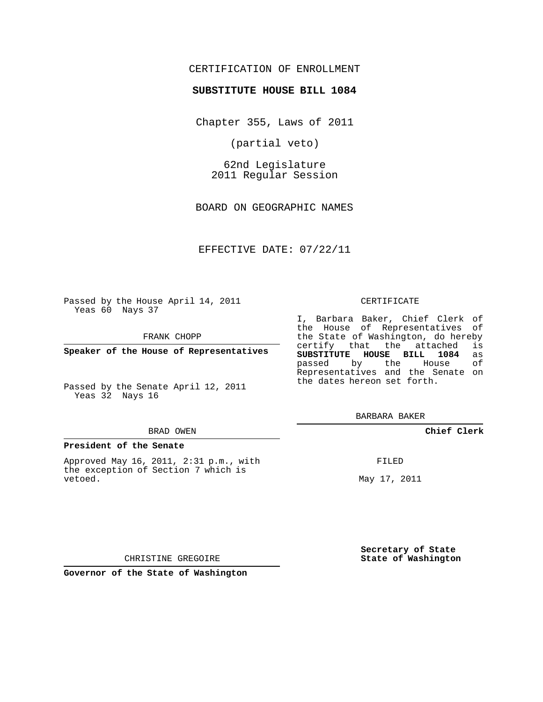## CERTIFICATION OF ENROLLMENT

### **SUBSTITUTE HOUSE BILL 1084**

Chapter 355, Laws of 2011

(partial veto)

62nd Legislature 2011 Regular Session

BOARD ON GEOGRAPHIC NAMES

EFFECTIVE DATE: 07/22/11

Passed by the House April 14, 2011 Yeas 60 Nays 37

FRANK CHOPP

**Speaker of the House of Representatives**

Passed by the Senate April 12, 2011 Yeas 32 Nays 16

#### BRAD OWEN

#### **President of the Senate**

Approved May 16, 2011, 2:31 p.m., with the exception of Section 7 which is vetoed.

#### CERTIFICATE

I, Barbara Baker, Chief Clerk of the House of Representatives of the State of Washington, do hereby<br>certify that the attached is certify that the attached **SUBSTITUTE HOUSE BILL 1084** as passed by the House of Representatives and the Senate on the dates hereon set forth.

BARBARA BAKER

## **Chief Clerk**

FILED

May 17, 2011

**Secretary of State State of Washington**

CHRISTINE GREGOIRE

**Governor of the State of Washington**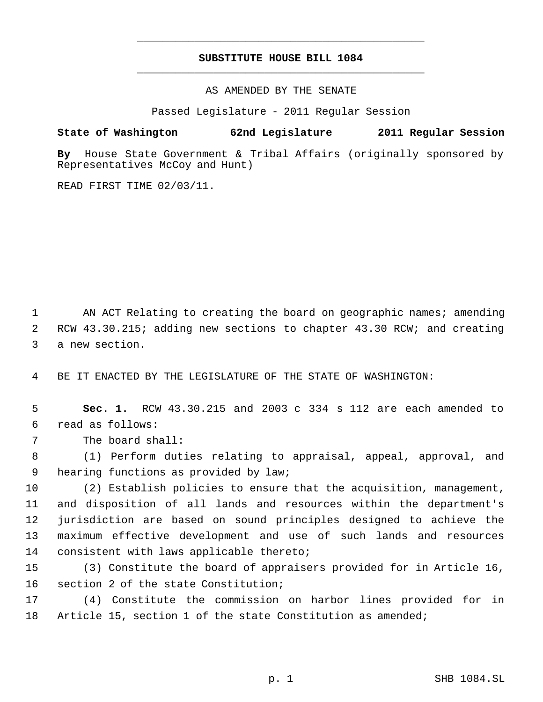# **SUBSTITUTE HOUSE BILL 1084** \_\_\_\_\_\_\_\_\_\_\_\_\_\_\_\_\_\_\_\_\_\_\_\_\_\_\_\_\_\_\_\_\_\_\_\_\_\_\_\_\_\_\_\_\_

\_\_\_\_\_\_\_\_\_\_\_\_\_\_\_\_\_\_\_\_\_\_\_\_\_\_\_\_\_\_\_\_\_\_\_\_\_\_\_\_\_\_\_\_\_

AS AMENDED BY THE SENATE

Passed Legislature - 2011 Regular Session

**State of Washington 62nd Legislature 2011 Regular Session**

**By** House State Government & Tribal Affairs (originally sponsored by Representatives McCoy and Hunt)

READ FIRST TIME 02/03/11.

1 AN ACT Relating to creating the board on geographic names; amending RCW 43.30.215; adding new sections to chapter 43.30 RCW; and creating a new section.

BE IT ENACTED BY THE LEGISLATURE OF THE STATE OF WASHINGTON:

 **Sec. 1.** RCW 43.30.215 and 2003 c 334 s 112 are each amended to read as follows:

The board shall:

 (1) Perform duties relating to appraisal, appeal, approval, and hearing functions as provided by law;

 (2) Establish policies to ensure that the acquisition, management, and disposition of all lands and resources within the department's jurisdiction are based on sound principles designed to achieve the maximum effective development and use of such lands and resources consistent with laws applicable thereto;

 (3) Constitute the board of appraisers provided for in Article 16, section 2 of the state Constitution;

 (4) Constitute the commission on harbor lines provided for in Article 15, section 1 of the state Constitution as amended;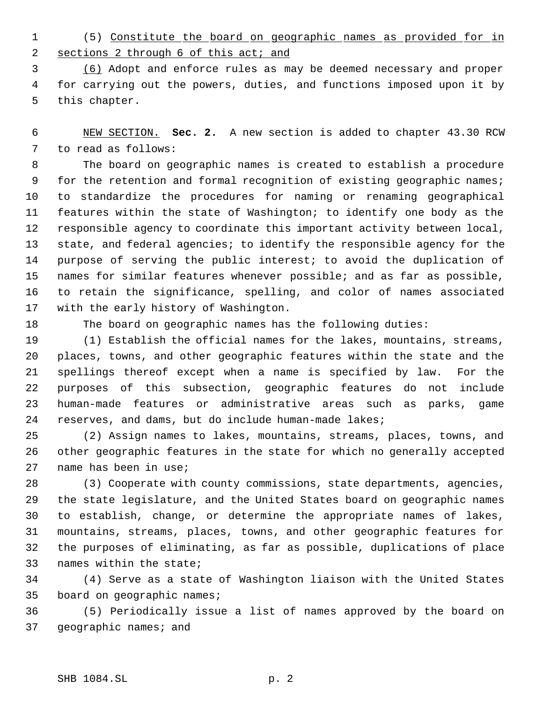(5) Constitute the board on geographic names as provided for in 2 sections 2 through 6 of this act; and

 (6) Adopt and enforce rules as may be deemed necessary and proper for carrying out the powers, duties, and functions imposed upon it by this chapter.

 NEW SECTION. **Sec. 2.** A new section is added to chapter 43.30 RCW to read as follows:

 The board on geographic names is created to establish a procedure for the retention and formal recognition of existing geographic names; to standardize the procedures for naming or renaming geographical features within the state of Washington; to identify one body as the responsible agency to coordinate this important activity between local, state, and federal agencies; to identify the responsible agency for the purpose of serving the public interest; to avoid the duplication of names for similar features whenever possible; and as far as possible, to retain the significance, spelling, and color of names associated with the early history of Washington.

The board on geographic names has the following duties:

 (1) Establish the official names for the lakes, mountains, streams, places, towns, and other geographic features within the state and the spellings thereof except when a name is specified by law. For the purposes of this subsection, geographic features do not include human-made features or administrative areas such as parks, game reserves, and dams, but do include human-made lakes;

 (2) Assign names to lakes, mountains, streams, places, towns, and other geographic features in the state for which no generally accepted name has been in use;

 (3) Cooperate with county commissions, state departments, agencies, the state legislature, and the United States board on geographic names to establish, change, or determine the appropriate names of lakes, mountains, streams, places, towns, and other geographic features for the purposes of eliminating, as far as possible, duplications of place names within the state;

 (4) Serve as a state of Washington liaison with the United States board on geographic names;

 (5) Periodically issue a list of names approved by the board on geographic names; and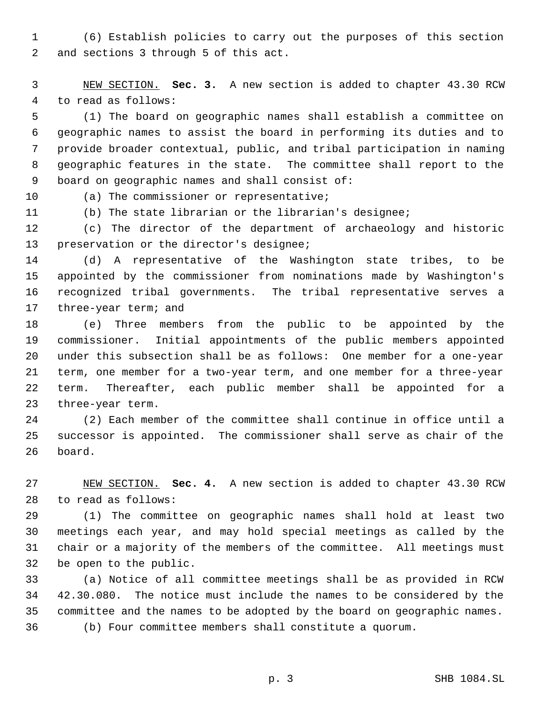(6) Establish policies to carry out the purposes of this section and sections 3 through 5 of this act.

 NEW SECTION. **Sec. 3.** A new section is added to chapter 43.30 RCW to read as follows:

 (1) The board on geographic names shall establish a committee on geographic names to assist the board in performing its duties and to provide broader contextual, public, and tribal participation in naming geographic features in the state. The committee shall report to the board on geographic names and shall consist of:

10 (a) The commissioner or representative;

(b) The state librarian or the librarian's designee;

 (c) The director of the department of archaeology and historic preservation or the director's designee;

 (d) A representative of the Washington state tribes, to be appointed by the commissioner from nominations made by Washington's recognized tribal governments. The tribal representative serves a three-year term; and

 (e) Three members from the public to be appointed by the commissioner. Initial appointments of the public members appointed under this subsection shall be as follows: One member for a one-year term, one member for a two-year term, and one member for a three-year term. Thereafter, each public member shall be appointed for a three-year term.

 (2) Each member of the committee shall continue in office until a successor is appointed. The commissioner shall serve as chair of the board.

 NEW SECTION. **Sec. 4.** A new section is added to chapter 43.30 RCW to read as follows:

 (1) The committee on geographic names shall hold at least two meetings each year, and may hold special meetings as called by the chair or a majority of the members of the committee. All meetings must be open to the public.

 (a) Notice of all committee meetings shall be as provided in RCW 42.30.080. The notice must include the names to be considered by the committee and the names to be adopted by the board on geographic names. (b) Four committee members shall constitute a quorum.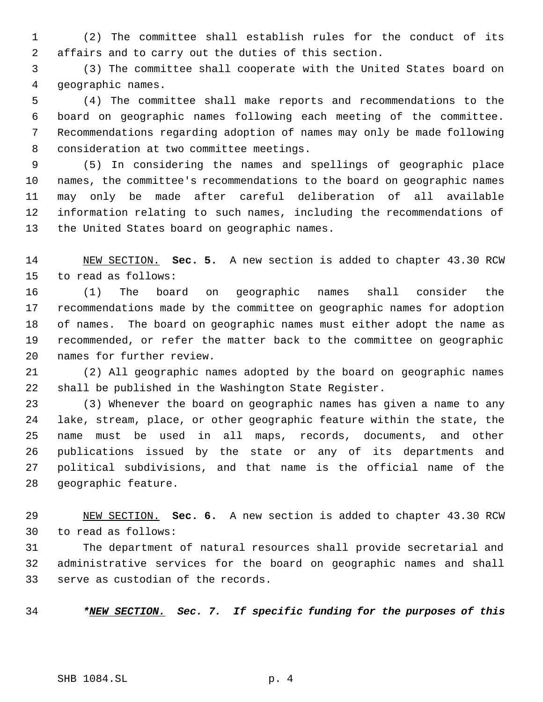(2) The committee shall establish rules for the conduct of its affairs and to carry out the duties of this section.

 (3) The committee shall cooperate with the United States board on geographic names.

 (4) The committee shall make reports and recommendations to the board on geographic names following each meeting of the committee. Recommendations regarding adoption of names may only be made following consideration at two committee meetings.

 (5) In considering the names and spellings of geographic place names, the committee's recommendations to the board on geographic names may only be made after careful deliberation of all available information relating to such names, including the recommendations of the United States board on geographic names.

 NEW SECTION. **Sec. 5.** A new section is added to chapter 43.30 RCW to read as follows:

 (1) The board on geographic names shall consider the recommendations made by the committee on geographic names for adoption of names. The board on geographic names must either adopt the name as recommended, or refer the matter back to the committee on geographic names for further review.

 (2) All geographic names adopted by the board on geographic names shall be published in the Washington State Register.

 (3) Whenever the board on geographic names has given a name to any lake, stream, place, or other geographic feature within the state, the name must be used in all maps, records, documents, and other publications issued by the state or any of its departments and political subdivisions, and that name is the official name of the geographic feature.

 NEW SECTION. **Sec. 6.** A new section is added to chapter 43.30 RCW to read as follows:

 The department of natural resources shall provide secretarial and administrative services for the board on geographic names and shall serve as custodian of the records.

*\*NEW SECTION. Sec. 7. If specific funding for the purposes of this*